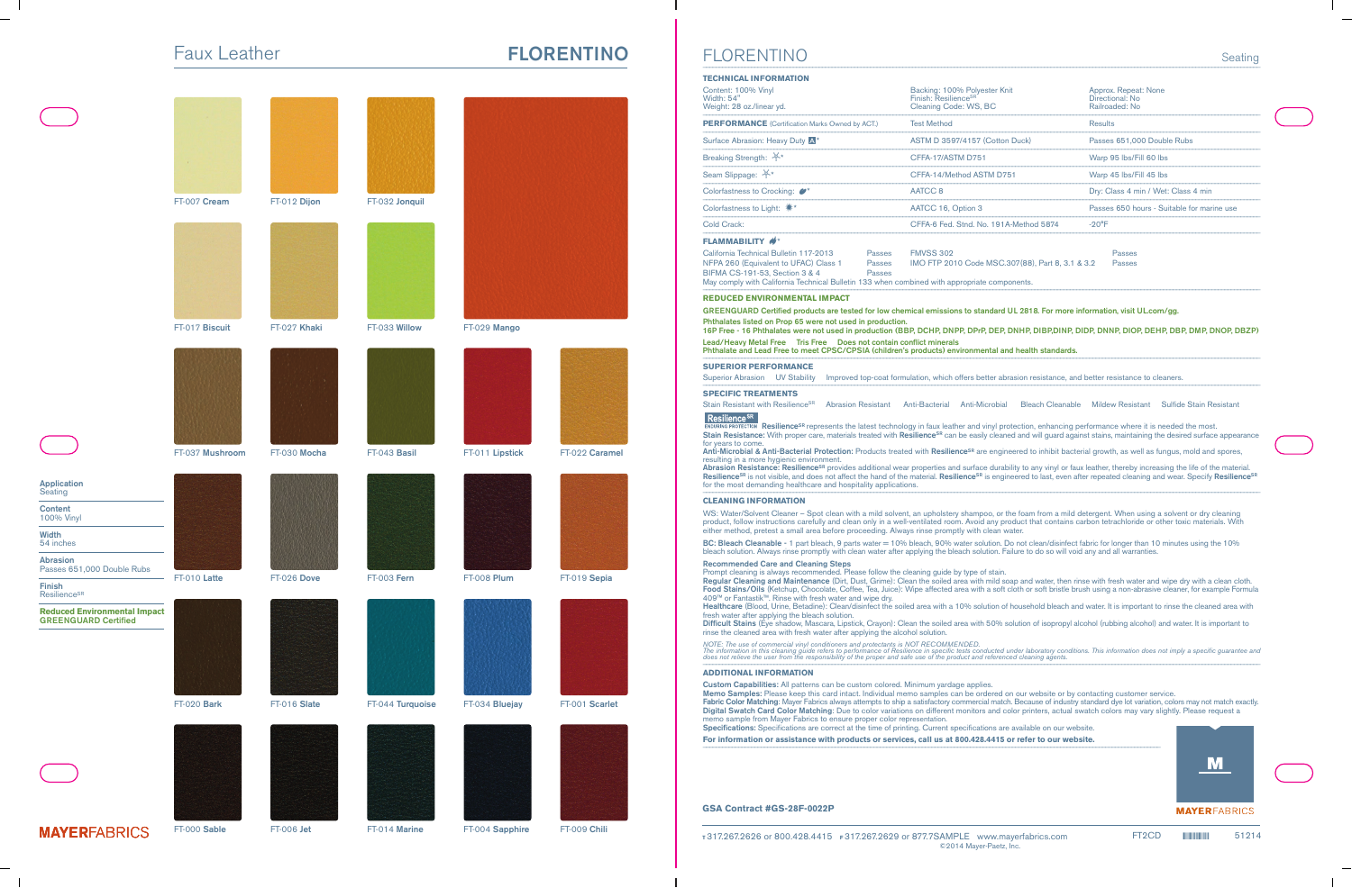## Faux Leather **FLORENTINO**



**MAYER**FABRICS

FT-000 **Sable**

FT-006 **Jet**

FT-014 **Marine**

 $\mathcal{S}$  for the case of the contraction of the complex of the contraction of the contraction of  $\mathcal{S}$ 

FT-004 **Sapphire**

FT-009 **Chili**